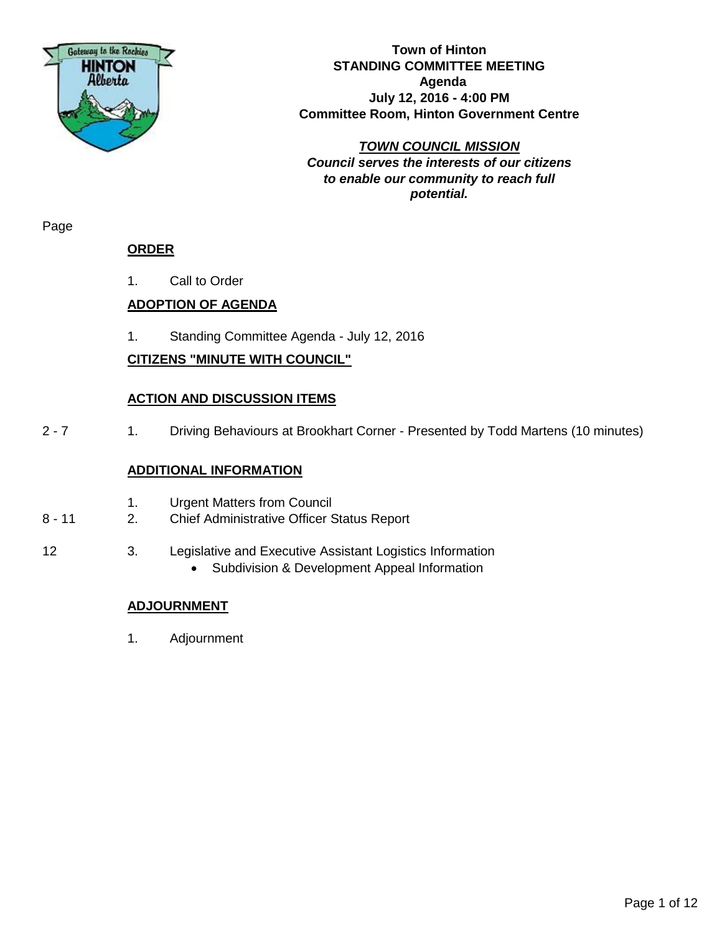

**Town of Hinton STANDING COMMITTEE MEETING Agenda July 12, 2016 - 4:00 PM Committee Room, Hinton Government Centre**

*TOWN COUNCIL MISSION Council serves the interests of our citizens to enable our community to reach full potential.*

Page

# **ORDER**

1. Call to Order

# **ADOPTION OF AGENDA**

1. Standing Committee Agenda - July 12, 2016

# **CITIZENS "MINUTE WITH COUNCIL"**

# **ACTION AND DISCUSSION ITEMS**

2 - 7 1. Driving Behaviours at Brookhart Corner - Presented by Todd Martens (10 minutes)

### **ADDITIONAL INFORMATION**

- 1. Urgent Matters from Council
- 8 11 2. Chief Administrative Officer Status Report

### 12 3. Legislative and Executive Assistant Logistics Information

• Subdivision & Development Appeal Information

# **ADJOURNMENT**

1. Adjournment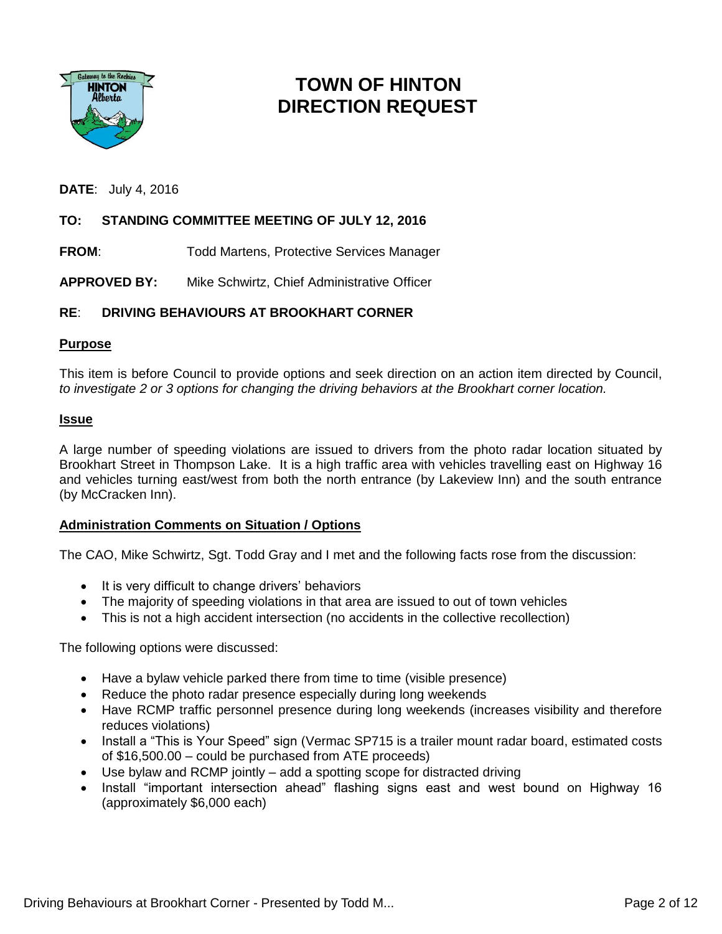

# **TOWN OF HINTON DIRECTION REQUEST**

**DATE**: July 4, 2016

# **TO: STANDING COMMITTEE MEETING OF JULY 12, 2016**

**FROM:** Todd Martens, Protective Services Manager

**APPROVED BY:** Mike Schwirtz, Chief Administrative Officer

### **RE**: **DRIVING BEHAVIOURS AT BROOKHART CORNER**

#### **Purpose**

This item is before Council to provide options and seek direction on an action item directed by Council, *to investigate 2 or 3 options for changing the driving behaviors at the Brookhart corner location.*

#### **Issue**

A large number of speeding violations are issued to drivers from the photo radar location situated by Brookhart Street in Thompson Lake. It is a high traffic area with vehicles travelling east on Highway 16 and vehicles turning east/west from both the north entrance (by Lakeview Inn) and the south entrance (by McCracken Inn).

### **Administration Comments on Situation / Options**

The CAO, Mike Schwirtz, Sgt. Todd Gray and I met and the following facts rose from the discussion:

- It is very difficult to change drivers' behaviors
- The majority of speeding violations in that area are issued to out of town vehicles
- This is not a high accident intersection (no accidents in the collective recollection)

The following options were discussed:

- Have a bylaw vehicle parked there from time to time (visible presence)
- Reduce the photo radar presence especially during long weekends
- Have RCMP traffic personnel presence during long weekends (increases visibility and therefore reduces violations)
- Install a "This is Your Speed" sign (Vermac SP715 is a trailer mount radar board, estimated costs of \$16,500.00 – could be purchased from ATE proceeds)
- Use bylaw and RCMP jointly add a spotting scope for distracted driving
- Install "important intersection ahead" flashing signs east and west bound on Highway 16 (approximately \$6,000 each)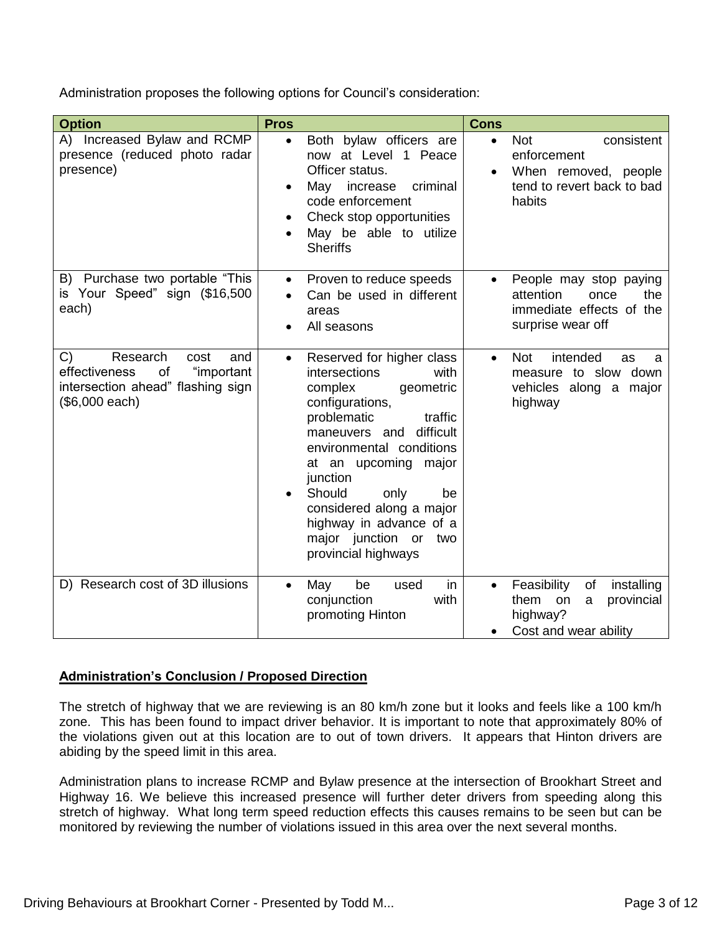Administration proposes the following options for Council's consideration:

| <b>Option</b>                                                                                                             | <b>Pros</b>                                                                                                                                                                                                                                                                                                                                                          | <b>Cons</b>                                                                                                                       |
|---------------------------------------------------------------------------------------------------------------------------|----------------------------------------------------------------------------------------------------------------------------------------------------------------------------------------------------------------------------------------------------------------------------------------------------------------------------------------------------------------------|-----------------------------------------------------------------------------------------------------------------------------------|
| A) Increased Bylaw and RCMP<br>presence (reduced photo radar<br>presence)                                                 | Both bylaw officers are<br>$\bullet$<br>now at Level 1 Peace<br>Officer status.<br>criminal<br>increase<br>May<br>$\bullet$<br>code enforcement<br>Check stop opportunities<br>May be able to utilize<br><b>Sheriffs</b>                                                                                                                                             | consistent<br><b>Not</b><br>$\bullet$<br>enforcement<br>When removed, people<br>$\bullet$<br>tend to revert back to bad<br>habits |
| B) Purchase two portable "This<br>is Your Speed" sign (\$16,500<br>each)                                                  | Proven to reduce speeds<br>$\bullet$<br>Can be used in different<br>areas<br>All seasons                                                                                                                                                                                                                                                                             | People may stop paying<br>attention<br>the<br>once<br>immediate effects of the<br>surprise wear off                               |
| C)<br>Research<br>cost<br>and<br>"important<br>effectiveness<br>of<br>intersection ahead" flashing sign<br>(\$6,000 each) | Reserved for higher class<br>$\bullet$<br>intersections<br>with<br>complex<br>geometric<br>configurations,<br>problematic<br>traffic<br>difficult<br>maneuvers and<br>environmental conditions<br>at an upcoming major<br>junction<br>Should<br>only<br>be<br>considered along a major<br>highway in advance of a<br>major junction or<br>two<br>provincial highways | <b>Not</b><br>intended<br>as<br>$\bullet$<br>a<br>measure to slow down<br>vehicles along a major<br>highway                       |
| D) Research cost of 3D illusions                                                                                          | May<br>be<br>in<br>used<br>$\bullet$<br>conjunction<br>with<br>promoting Hinton                                                                                                                                                                                                                                                                                      | Feasibility<br>of<br>installing<br>$\bullet$<br>provincial<br>them<br>on<br>a<br>highway?<br>Cost and wear ability                |

### **Administration's Conclusion / Proposed Direction**

The stretch of highway that we are reviewing is an 80 km/h zone but it looks and feels like a 100 km/h zone. This has been found to impact driver behavior. It is important to note that approximately 80% of the violations given out at this location are to out of town drivers. It appears that Hinton drivers are abiding by the speed limit in this area.

Administration plans to increase RCMP and Bylaw presence at the intersection of Brookhart Street and Highway 16. We believe this increased presence will further deter drivers from speeding along this stretch of highway. What long term speed reduction effects this causes remains to be seen but can be monitored by reviewing the number of violations issued in this area over the next several months.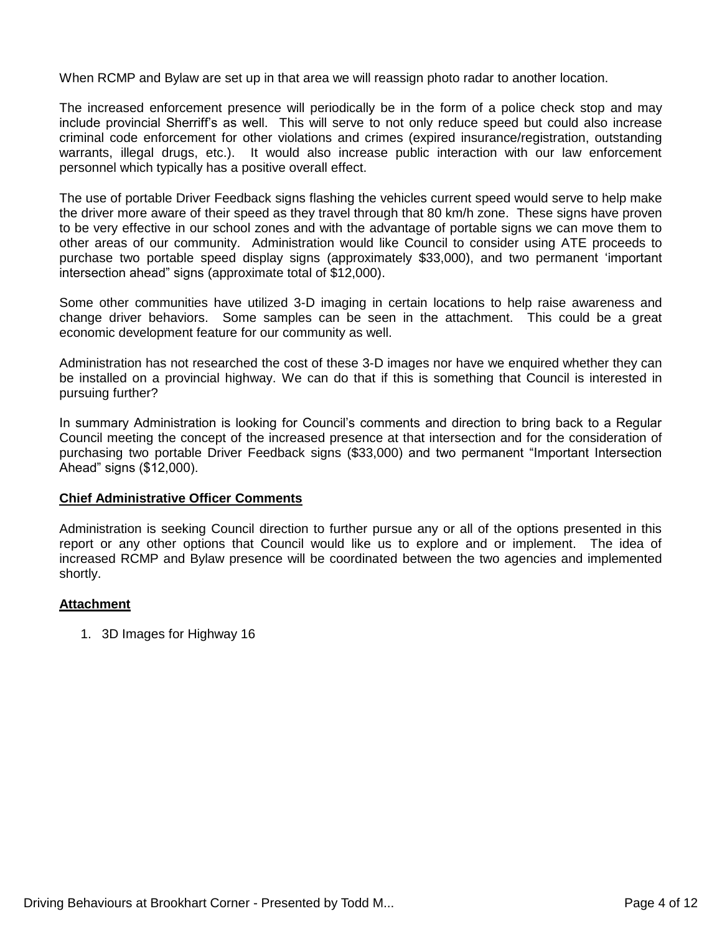When RCMP and Bylaw are set up in that area we will reassign photo radar to another location.

The increased enforcement presence will periodically be in the form of a police check stop and may include provincial Sherriff's as well. This will serve to not only reduce speed but could also increase criminal code enforcement for other violations and crimes (expired insurance/registration, outstanding warrants, illegal drugs, etc.). It would also increase public interaction with our law enforcement personnel which typically has a positive overall effect.

The use of portable Driver Feedback signs flashing the vehicles current speed would serve to help make the driver more aware of their speed as they travel through that 80 km/h zone. These signs have proven to be very effective in our school zones and with the advantage of portable signs we can move them to other areas of our community. Administration would like Council to consider using ATE proceeds to purchase two portable speed display signs (approximately \$33,000), and two permanent 'important intersection ahead" signs (approximate total of \$12,000).

Some other communities have utilized 3-D imaging in certain locations to help raise awareness and change driver behaviors. Some samples can be seen in the attachment. This could be a great economic development feature for our community as well.

Administration has not researched the cost of these 3-D images nor have we enquired whether they can be installed on a provincial highway. We can do that if this is something that Council is interested in pursuing further?

In summary Administration is looking for Council's comments and direction to bring back to a Regular Council meeting the concept of the increased presence at that intersection and for the consideration of purchasing two portable Driver Feedback signs (\$33,000) and two permanent "Important Intersection Ahead" signs (\$12,000).

### **Chief Administrative Officer Comments**

Administration is seeking Council direction to further pursue any or all of the options presented in this report or any other options that Council would like us to explore and or implement. The idea of increased RCMP and Bylaw presence will be coordinated between the two agencies and implemented shortly.

#### **Attachment**

1. 3D Images for Highway 16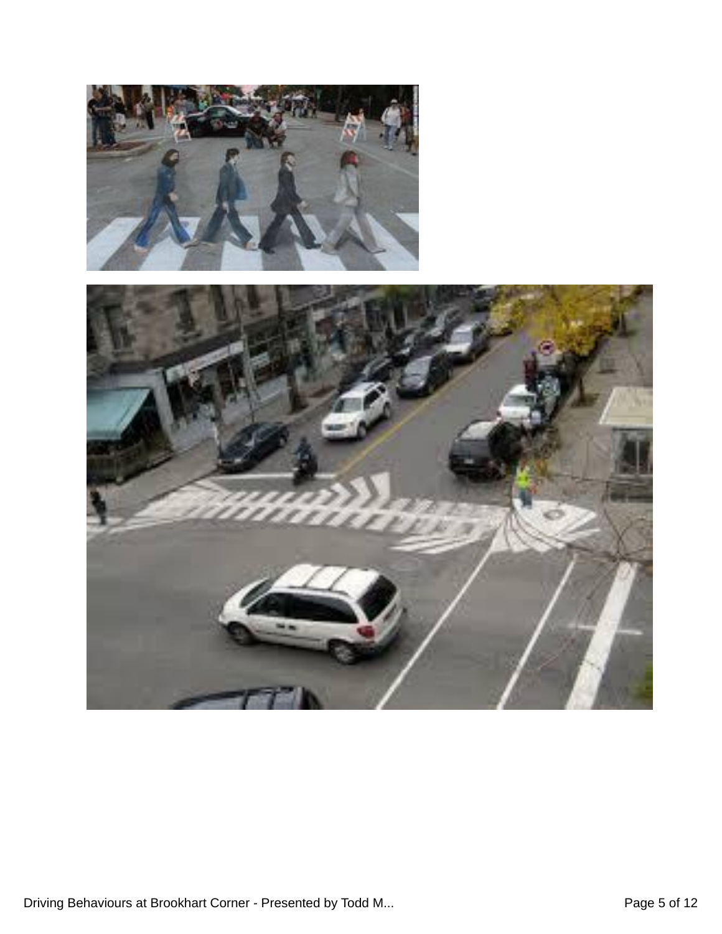

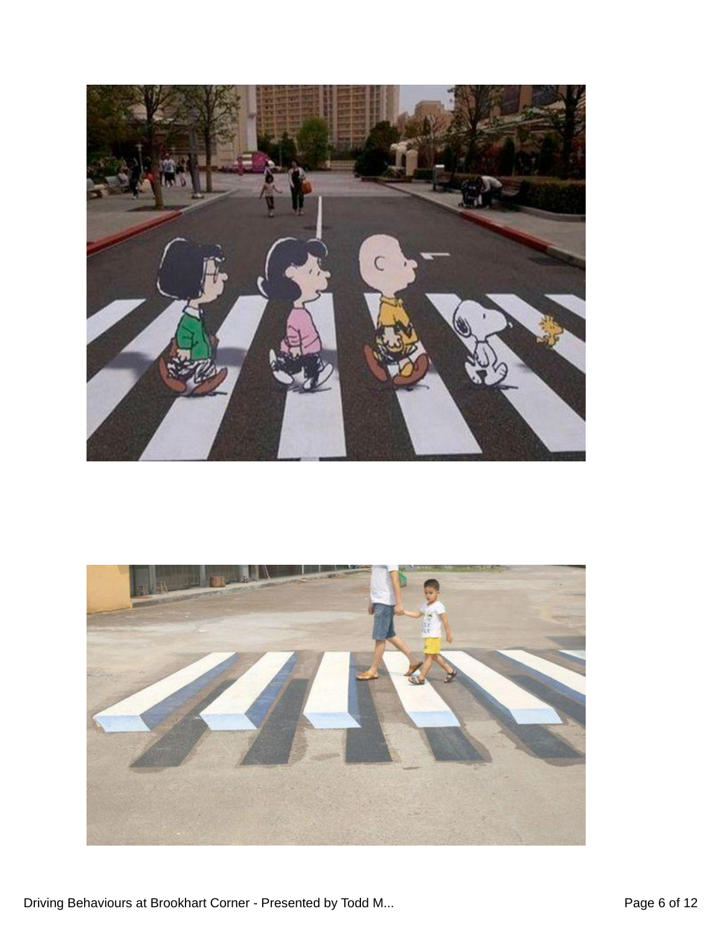



Driving Behaviours at Brookhart Corner - Presented by Todd M... Page 6 of 12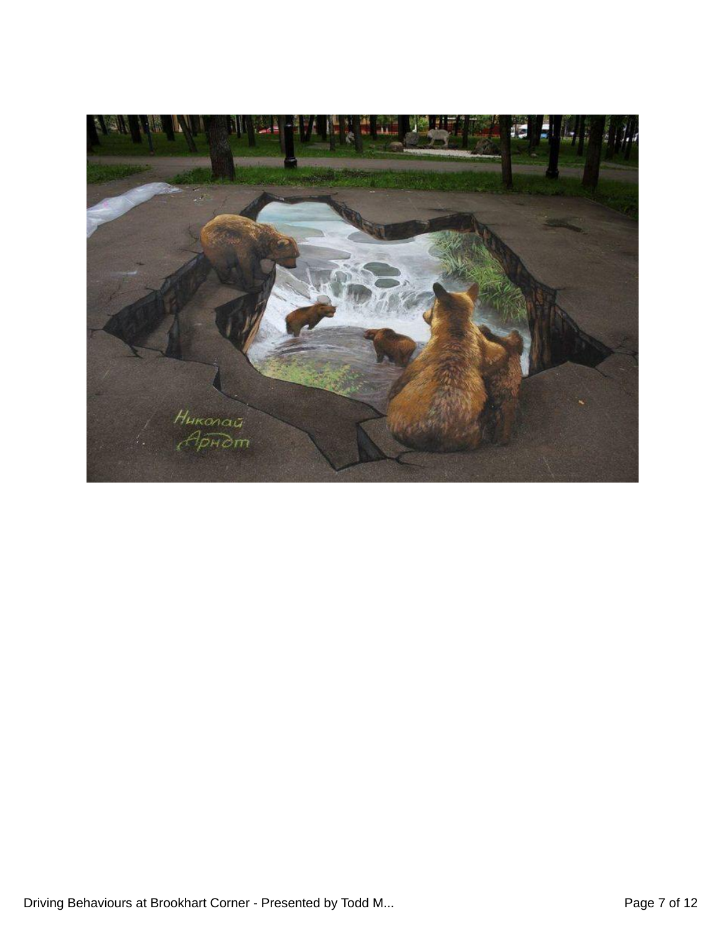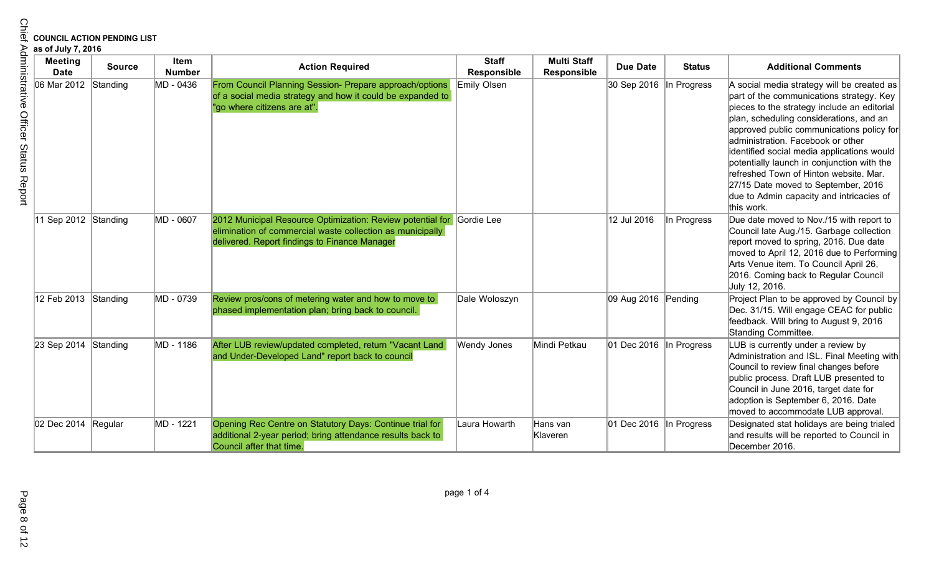# **COUNCIL ACTION PENDING LIST**

|                                     | as of July 7, 2016            | <b>COUNCIL ACTION PENDING LIST</b> |                       |                                                                                                                                                                                     |                                    |                                          |                 |               |                                                                                                                                                                                                                                                                                                                                                                                                                                                                                                           |
|-------------------------------------|-------------------------------|------------------------------------|-----------------------|-------------------------------------------------------------------------------------------------------------------------------------------------------------------------------------|------------------------------------|------------------------------------------|-----------------|---------------|-----------------------------------------------------------------------------------------------------------------------------------------------------------------------------------------------------------------------------------------------------------------------------------------------------------------------------------------------------------------------------------------------------------------------------------------------------------------------------------------------------------|
| dminist                             | <b>Meeting</b><br><b>Date</b> | <b>Source</b>                      | Item<br><b>Number</b> | <b>Action Required</b>                                                                                                                                                              | <b>Staff</b><br><b>Responsible</b> | <b>Multi Staff</b><br><b>Responsible</b> | <b>Due Date</b> | <b>Status</b> | <b>Additional Comments</b>                                                                                                                                                                                                                                                                                                                                                                                                                                                                                |
| trative<br>Officer Status<br>Report | 06 Mar 2012 Standing          |                                    | MD - 0436             | From Council Planning Session- Prepare approach/options<br>of a social media strategy and how it could be expanded to<br>'go where citizens are at".                                | Emily Olsen                        |                                          | 30 Sep 2016     | In Progress   | A social media strategy will be created as<br>part of the communications strategy. Key<br>pieces to the strategy include an editorial<br>plan, scheduling considerations, and an<br>approved public communications policy for<br>administration. Facebook or other<br>identified social media applications would<br>potentially launch in conjunction with the<br>refreshed Town of Hinton website. Mar.<br>27/15 Date moved to September, 2016<br>due to Admin capacity and intricacies of<br>this work. |
|                                     | 11 Sep 2012 Standing          |                                    | MD - 0607             | 2012 Municipal Resource Optimization: Review potential for Gordie Lee<br>elimination of commercial waste collection as municipally<br>delivered. Report findings to Finance Manager |                                    |                                          | 12 Jul 2016     | In Progress   | Due date moved to Nov./15 with report to<br>Council late Aug./15. Garbage collection<br>report moved to spring, 2016. Due date<br>moved to April 12, 2016 due to Performing<br>Arts Venue item. To Council April 26,<br>2016. Coming back to Regular Council<br>July 12, 2016.                                                                                                                                                                                                                            |
|                                     | 12 Feb 2013 Standing          |                                    | MD - 0739             | Review pros/cons of metering water and how to move to<br>phased implementation plan; bring back to council.                                                                         | Dale Woloszyn                      |                                          | 09 Aug 2016     | Pending       | Project Plan to be approved by Council by<br>Dec. 31/15. Will engage CEAC for public<br>feedback. Will bring to August 9, 2016<br>Standing Committee.                                                                                                                                                                                                                                                                                                                                                     |
|                                     | 23 Sep 2014 Standing          |                                    | MD - 1186             | After LUB review/updated completed, return "Vacant Land<br>and Under-Developed Land" report back to council                                                                         | Wendy Jones                        | Mindi Petkau                             | 01 Dec 2016     | In Progress   | LUB is currently under a review by<br>Administration and ISL. Final Meeting with<br>Council to review final changes before<br>public process. Draft LUB presented to<br>Council in June 2016, target date for<br>adoption is September 6, 2016. Date<br>moved to accommodate LUB approval.                                                                                                                                                                                                                |
|                                     | 02 Dec 2014 Regular           |                                    | MD - 1221             | Opening Rec Centre on Statutory Days: Continue trial for<br>additional 2-year period; bring attendance results back to<br>Council after that time.                                  | Laura Howarth                      | Hans van<br>Klaveren                     | 01 Dec 2016     | In Progress   | Designated stat holidays are being trialed<br>and results will be reported to Council in<br>December 2016.                                                                                                                                                                                                                                                                                                                                                                                                |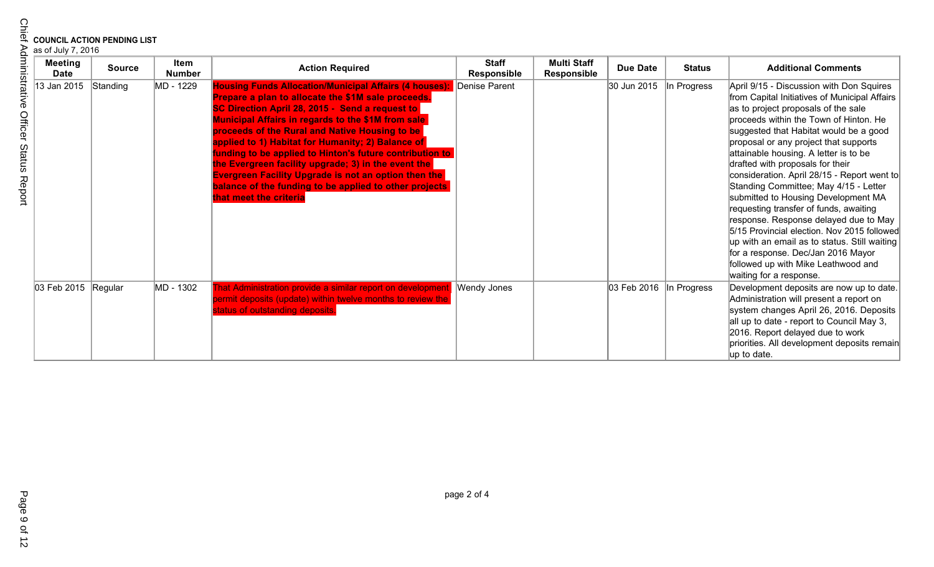| <b>Meeting</b><br><b>Date</b> | <b>Source</b> | <b>Item</b><br><b>Number</b> | <b>Action Required</b>                                                                                                                                                                                                                                                                                                                                                                                                                                                                                                                                                                                    | <b>Staff</b><br>Responsible | <b>Multi Staff</b><br><b>Responsible</b> | <b>Due Date</b>                     | <b>Status</b> | <b>Additional Comments</b>                                                                                                                                                                                                                                                                                                                                                                                                                                                                                                                                                                                                                                                                                                                                          |
|-------------------------------|---------------|------------------------------|-----------------------------------------------------------------------------------------------------------------------------------------------------------------------------------------------------------------------------------------------------------------------------------------------------------------------------------------------------------------------------------------------------------------------------------------------------------------------------------------------------------------------------------------------------------------------------------------------------------|-----------------------------|------------------------------------------|-------------------------------------|---------------|---------------------------------------------------------------------------------------------------------------------------------------------------------------------------------------------------------------------------------------------------------------------------------------------------------------------------------------------------------------------------------------------------------------------------------------------------------------------------------------------------------------------------------------------------------------------------------------------------------------------------------------------------------------------------------------------------------------------------------------------------------------------|
| 13 Jan 2015                   | Standing      | MD - 1229                    | <b>Housing Funds Allocation/Municipal Affairs (4 houses):</b><br>Prepare a plan to allocate the \$1M sale proceeds.<br>SC Direction April 28, 2015 - Send a request to<br>Municipal Affairs in regards to the \$1M from sale<br>proceeds of the Rural and Native Housing to be<br>applied to 1) Habitat for Humanity; 2) Balance of<br>funding to be applied to Hinton's future contribution to<br>the Evergreen facility upgrade; 3) in the event the<br><b>Evergreen Facility Upgrade is not an option then the</b><br>balance of the funding to be applied to other projects<br>that meet the criteria | Denise Parent               |                                          | 30 Jun 2015                         | In Progress   | April 9/15 - Discussion with Don Squires<br>from Capital Initiatives of Municipal Affairs<br>as to project proposals of the sale<br>proceeds within the Town of Hinton. He<br>suggested that Habitat would be a good<br>proposal or any project that supports<br>attainable housing. A letter is to be<br>drafted with proposals for their<br>consideration. April 28/15 - Report went to<br>Standing Committee; May 4/15 - Letter<br>submitted to Housing Development MA<br>requesting transfer of funds, awaiting<br>response. Response delayed due to May<br>5/15 Provincial election. Nov 2015 followed<br>up with an email as to status. Still waiting<br>for a response. Dec/Jan 2016 Mayor<br>followed up with Mike Leathwood and<br>waiting for a response. |
| 03 Feb 2015                   | Regular       | MD - 1302                    | That Administration provide a similar report on development Wendy Jones<br>permit deposits (update) within twelve months to review the<br>status of outstanding deposits.                                                                                                                                                                                                                                                                                                                                                                                                                                 |                             |                                          | $ 03 \text{ Feb } 2016$ In Progress |               | Development deposits are now up to date.<br>Administration will present a report on<br>system changes April 26, 2016. Deposits<br>all up to date - report to Council May 3,<br>2016. Report delayed due to work<br>priorities. All development deposits remain                                                                                                                                                                                                                                                                                                                                                                                                                                                                                                      |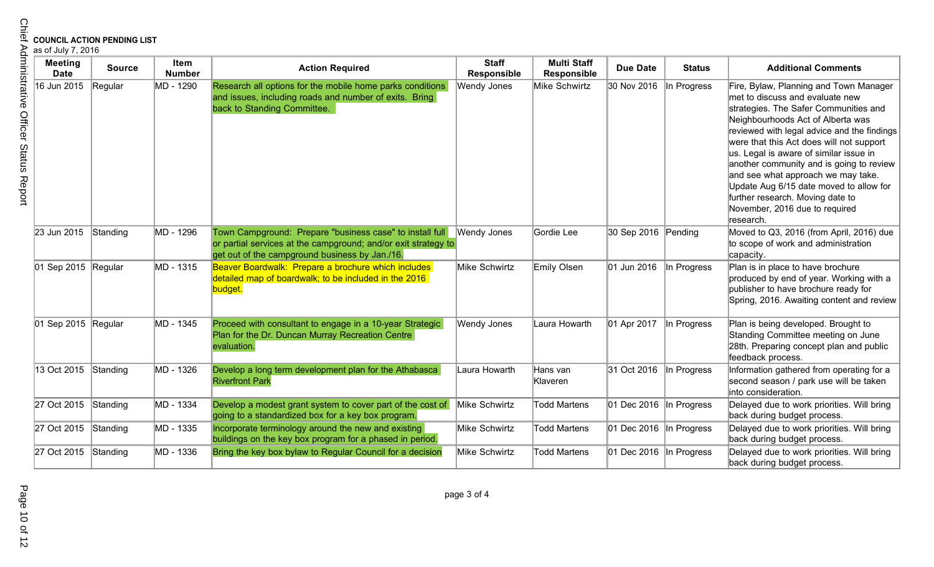| <b>Chief</b>                         | as of July 7, 2016            | <b>COUNCIL ACTION PENDING LIST</b> |                       |                                                                                                                                                                              |                                    |                                          |                                |               |                                                                                                                                                                                                                                                                                                                                                                                                                                                                                                              |
|--------------------------------------|-------------------------------|------------------------------------|-----------------------|------------------------------------------------------------------------------------------------------------------------------------------------------------------------------|------------------------------------|------------------------------------------|--------------------------------|---------------|--------------------------------------------------------------------------------------------------------------------------------------------------------------------------------------------------------------------------------------------------------------------------------------------------------------------------------------------------------------------------------------------------------------------------------------------------------------------------------------------------------------|
|                                      | <b>Meeting</b><br><b>Date</b> | Source                             | Item<br><b>Number</b> | <b>Action Required</b>                                                                                                                                                       | <b>Staff</b><br><b>Responsible</b> | <b>Multi Staff</b><br><b>Responsible</b> | <b>Due Date</b>                | <b>Status</b> | <b>Additional Comments</b>                                                                                                                                                                                                                                                                                                                                                                                                                                                                                   |
| Administrative Officer Status Report | 16 Jun 2015                   | Regular                            | MD - 1290             | Research all options for the mobile home parks conditions<br>and issues, including roads and number of exits. Bring<br>back to Standing Committee.                           | Wendy Jones                        | Mike Schwirtz                            | 30 Nov 2016                    | In Progress   | Fire, Bylaw, Planning and Town Manager<br>met to discuss and evaluate new<br>strategies. The Safer Communities and<br>Neighbourhoods Act of Alberta was<br>reviewed with legal advice and the findings<br>were that this Act does will not support<br>us. Legal is aware of similar issue in<br>another community and is going to review<br>and see what approach we may take.<br>Update Aug 6/15 date moved to allow for<br>further research. Moving date to<br>November, 2016 due to required<br>research. |
|                                      | 23 Jun 2015                   | Standing                           | MD - 1296             | Town Campground: Prepare "business case" to install full<br>or partial services at the campground; and/or exit strategy to<br>get out of the campground business by Jan./16. | <b>Wendy Jones</b>                 | Gordie Lee                               | 30 Sep 2016 Pending            |               | Moved to Q3, 2016 (from April, 2016) due<br>to scope of work and administration<br>capacity.                                                                                                                                                                                                                                                                                                                                                                                                                 |
|                                      | 01 Sep 2015 Regular           |                                    | MD - 1315             | Beaver Boardwalk: Prepare a brochure which includes<br>detailed map of boardwalk; to be included in the 2016<br>budget.                                                      | Mike Schwirtz                      | Emily Olsen                              | 01 Jun 2016                    | In Progress   | Plan is in place to have brochure<br>produced by end of year. Working with a<br>publisher to have brochure ready for<br>Spring, 2016. Awaiting content and review                                                                                                                                                                                                                                                                                                                                            |
|                                      | 01 Sep 2015 Regular           |                                    | MD - 1345             | Proceed with consultant to engage in a 10-year Strategic<br>Plan for the Dr. Duncan Murray Recreation Centre<br>evaluation.                                                  | <b>Wendy Jones</b>                 | Laura Howarth                            | 01 Apr 2017                    | In Progress   | Plan is being developed. Brought to<br>Standing Committee meeting on June<br>28th. Preparing concept plan and public<br>feedback process.                                                                                                                                                                                                                                                                                                                                                                    |
|                                      | 13 Oct 2015                   | Standing                           | MD - 1326             | Develop a long term development plan for the Athabasca<br><b>Riverfront Park</b>                                                                                             | Laura Howarth                      | Hans van<br>Klaveren                     | 31 Oct 2016                    | In Progress   | Information gathered from operating for a<br>second season / park use will be taken<br>into consideration.                                                                                                                                                                                                                                                                                                                                                                                                   |
|                                      | 27 Oct 2015                   | Standing                           | MD - 1334             | Develop a modest grant system to cover part of the cost of<br>going to a standardized box for a key box program.                                                             | Mike Schwirtz                      | <b>Todd Martens</b>                      | 01 Dec 2016 In Progress        |               | Delayed due to work priorities. Will bring<br>back during budget process.                                                                                                                                                                                                                                                                                                                                                                                                                                    |
|                                      | 27 Oct 2015                   | Standing                           | MD - 1335             | Incorporate terminology around the new and existing<br>buildings on the key box program for a phased in period.                                                              | Mike Schwirtz                      | <b>Todd Martens</b>                      | $ 01$ Dec 2016 $ $ In Progress |               | Delayed due to work priorities. Will bring<br>back during budget process.                                                                                                                                                                                                                                                                                                                                                                                                                                    |
|                                      | 27 Oct 2015                   | Standing                           | MD - 1336             | Bring the key box bylaw to Regular Council for a decision                                                                                                                    | Mike Schwirtz                      | <b>Todd Martens</b>                      | $ 01$ Dec 2016 $ $ In Progress |               | Delayed due to work priorities. Will bring<br>back during budget process.                                                                                                                                                                                                                                                                                                                                                                                                                                    |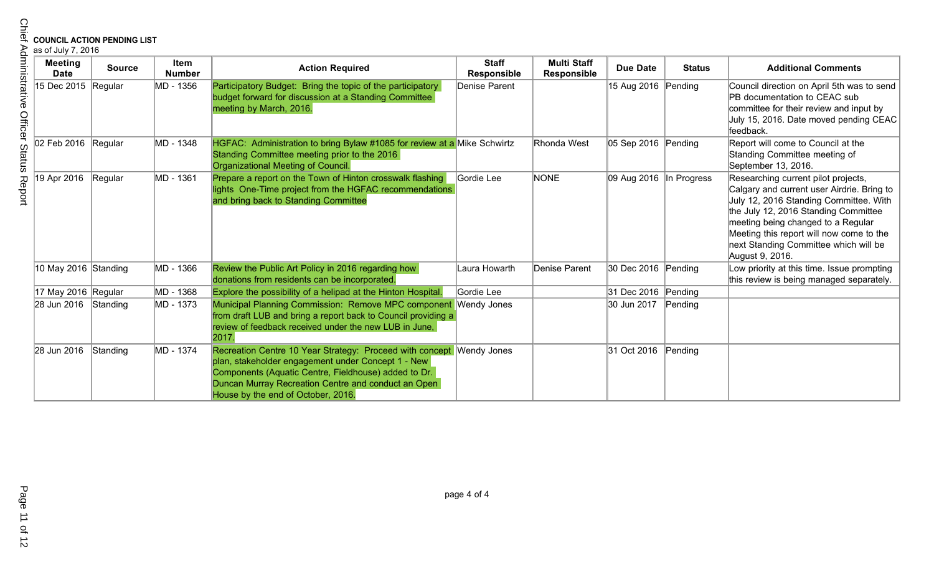| as of July 7, 2016<br><b>Multi Staff</b><br><b>Staff</b> |               |                       |                                                                                                                                                                                                                                                                                 |               |                    |                     |               |                                                                                                                                                                                                                                                                                                                   |
|----------------------------------------------------------|---------------|-----------------------|---------------------------------------------------------------------------------------------------------------------------------------------------------------------------------------------------------------------------------------------------------------------------------|---------------|--------------------|---------------------|---------------|-------------------------------------------------------------------------------------------------------------------------------------------------------------------------------------------------------------------------------------------------------------------------------------------------------------------|
| <b>Meeting</b><br><b>Date</b>                            | <b>Source</b> | Item<br><b>Number</b> | <b>Action Required</b>                                                                                                                                                                                                                                                          | Responsible   | <b>Responsible</b> | <b>Due Date</b>     | <b>Status</b> | <b>Additional Comments</b>                                                                                                                                                                                                                                                                                        |
| 15 Dec 2015 Regular                                      |               | MD - 1356             | Participatory Budget: Bring the topic of the participatory<br>budget forward for discussion at a Standing Committee<br>meeting by March, 2016.                                                                                                                                  | Denise Parent |                    | 15 Aug 2016 Pending |               | Council direction on April 5th was to send<br>PB documentation to CEAC sub<br>committee for their review and input by<br>July 15, 2016. Date moved pending CEAC<br>lfeedback.                                                                                                                                     |
| 02 Feb 2016 Regular                                      |               | MD - 1348             | HGFAC: Administration to bring Bylaw #1085 for review at a Mike Schwirtz<br>Standing Committee meeting prior to the 2016<br>Organizational Meeting of Council.                                                                                                                  |               | Rhonda West        | 05 Sep 2016 Pending |               | Report will come to Council at the<br>Standing Committee meeting of<br>September 13, 2016.                                                                                                                                                                                                                        |
| 19 Apr 2016                                              | Regular       | MD - 1361             | Prepare a report on the Town of Hinton crosswalk flashing<br>lights One-Time project from the HGFAC recommendations<br>and bring back to Standing Committee                                                                                                                     | Gordie Lee    | <b>NONE</b>        | 09 Aug 2016         | In Progress   | Researching current pilot projects,<br>Calgary and current user Airdrie. Bring to<br>July 12, 2016 Standing Committee. With<br>the July 12, 2016 Standing Committee<br>meeting being changed to a Regular<br>Meeting this report will now come to the<br>next Standing Committee which will be<br>August 9, 2016. |
| 10 May 2016 Standing                                     |               | MD - 1366             | Review the Public Art Policy in 2016 regarding how<br>donations from residents can be incorporated.                                                                                                                                                                             | Laura Howarth | Denise Parent      | 30 Dec 2016         | Pending       | Low priority at this time. Issue prompting<br>this review is being managed separately.                                                                                                                                                                                                                            |
| 17 May 2016 Regular                                      |               | MD - 1368             | Explore the possibility of a helipad at the Hinton Hospital.                                                                                                                                                                                                                    | Gordie Lee    |                    | 31 Dec 2016         | Pending       |                                                                                                                                                                                                                                                                                                                   |
| 28 Jun 2016 Standing                                     |               | MD - 1373             | Municipal Planning Commission: Remove MPC component Wendy Jones<br>from draft LUB and bring a report back to Council providing a<br>review of feedback received under the new LUB in June,<br>2017.                                                                             |               |                    | 30 Jun 2017         | Pending       |                                                                                                                                                                                                                                                                                                                   |
| 28 Jun 2016                                              | Standing      | MD - 1374             | Recreation Centre 10 Year Strategy: Proceed with concept Wendy Jones<br>plan, stakeholder engagement under Concept 1 - New<br>Components (Aquatic Centre, Fieldhouse) added to Dr.<br>Duncan Murray Recreation Centre and conduct an Open<br>House by the end of October, 2016. |               |                    | 31 Oct 2016         | Pending       |                                                                                                                                                                                                                                                                                                                   |